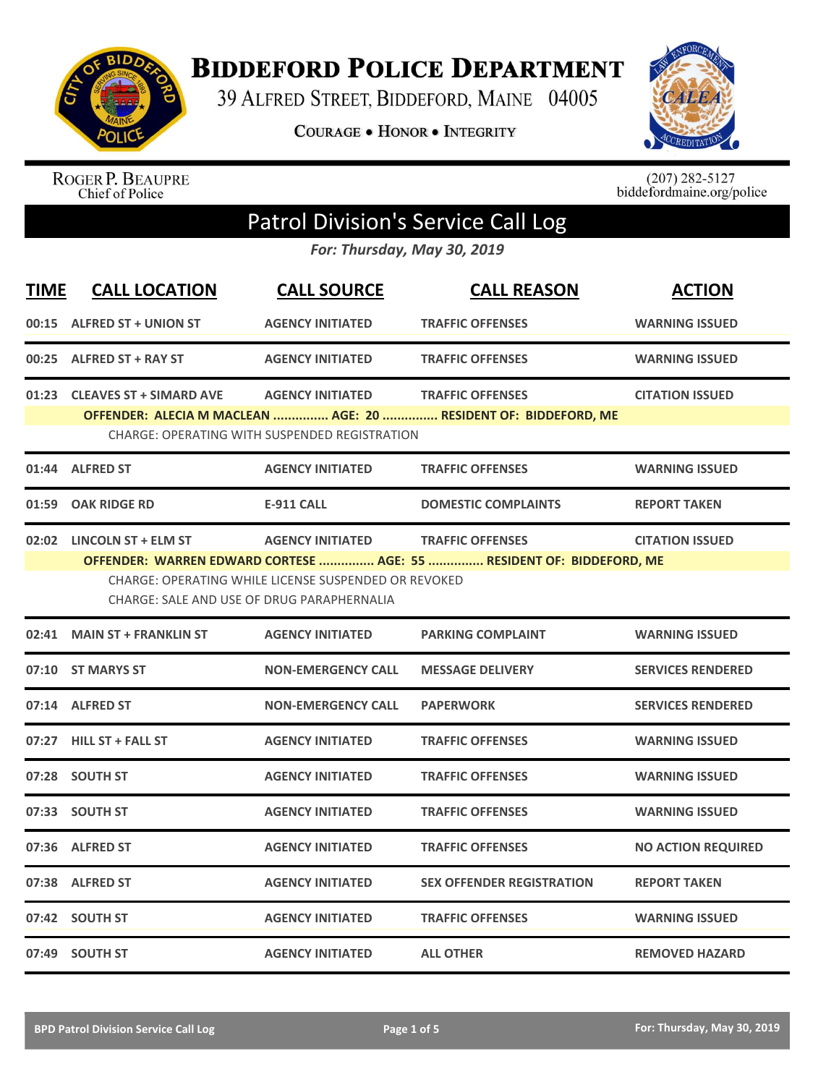

**BIDDEFORD POLICE DEPARTMENT** 

39 ALFRED STREET, BIDDEFORD, MAINE 04005

**COURAGE . HONOR . INTEGRITY** 



ROGER P. BEAUPRE<br>Chief of Police

 $(207)$  282-5127<br>biddefordmaine.org/police

## Patrol Division's Service Call Log

*For: Thursday, May 30, 2019*

| <b>TIME</b> | <b>CALL LOCATION</b>                       | <b>CALL SOURCE</b>                                   | <b>CALL REASON</b>                                                                              | <b>ACTION</b>             |
|-------------|--------------------------------------------|------------------------------------------------------|-------------------------------------------------------------------------------------------------|---------------------------|
|             | 00:15 ALFRED ST + UNION ST                 | <b>AGENCY INITIATED</b>                              | <b>TRAFFIC OFFENSES</b>                                                                         | <b>WARNING ISSUED</b>     |
|             | 00:25 ALFRED ST + RAY ST                   | <b>AGENCY INITIATED</b>                              | <b>TRAFFIC OFFENSES</b>                                                                         | <b>WARNING ISSUED</b>     |
|             | 01:23 CLEAVES ST + SIMARD AVE              | <b>AGENCY INITIATED</b>                              | <b>TRAFFIC OFFENSES</b><br>OFFENDER: ALECIA M MACLEAN  AGE: 20  RESIDENT OF: BIDDEFORD, ME      | <b>CITATION ISSUED</b>    |
|             |                                            | <b>CHARGE: OPERATING WITH SUSPENDED REGISTRATION</b> |                                                                                                 |                           |
|             | 01:44 ALFRED ST                            | <b>AGENCY INITIATED</b>                              | <b>TRAFFIC OFFENSES</b>                                                                         | <b>WARNING ISSUED</b>     |
|             | 01:59 OAK RIDGE RD                         | <b>E-911 CALL</b>                                    | <b>DOMESTIC COMPLAINTS</b>                                                                      | <b>REPORT TAKEN</b>       |
|             | 02:02 LINCOLN ST + ELM ST                  | <b>AGENCY INITIATED</b>                              | <b>TRAFFIC OFFENSES</b><br>OFFENDER: WARREN EDWARD CORTESE  AGE: 55  RESIDENT OF: BIDDEFORD, ME | <b>CITATION ISSUED</b>    |
|             | CHARGE: SALE AND USE OF DRUG PARAPHERNALIA | CHARGE: OPERATING WHILE LICENSE SUSPENDED OR REVOKED |                                                                                                 |                           |
| 02:41       | <b>MAIN ST + FRANKLIN ST</b>               | <b>AGENCY INITIATED</b>                              | <b>PARKING COMPLAINT</b>                                                                        | <b>WARNING ISSUED</b>     |
|             | 07:10 ST MARYS ST                          | <b>NON-EMERGENCY CALL</b>                            | <b>MESSAGE DELIVERY</b>                                                                         | <b>SERVICES RENDERED</b>  |
|             | 07:14 ALFRED ST                            | <b>NON-EMERGENCY CALL</b>                            | <b>PAPERWORK</b>                                                                                | <b>SERVICES RENDERED</b>  |
|             | 07:27 HILL ST + FALL ST                    | <b>AGENCY INITIATED</b>                              | <b>TRAFFIC OFFENSES</b>                                                                         | <b>WARNING ISSUED</b>     |
|             | 07:28 SOUTH ST                             | <b>AGENCY INITIATED</b>                              | <b>TRAFFIC OFFENSES</b>                                                                         | <b>WARNING ISSUED</b>     |
|             | 07:33 SOUTH ST                             | <b>AGENCY INITIATED</b>                              | <b>TRAFFIC OFFENSES</b>                                                                         | <b>WARNING ISSUED</b>     |
|             | 07:36 ALFRED ST                            | <b>AGENCY INITIATED</b>                              | <b>TRAFFIC OFFENSES</b>                                                                         | <b>NO ACTION REQUIRED</b> |
|             | 07:38 ALFRED ST                            | <b>AGENCY INITIATED</b>                              | <b>SEX OFFENDER REGISTRATION</b>                                                                | <b>REPORT TAKEN</b>       |
|             | 07:42 SOUTH ST                             | <b>AGENCY INITIATED</b>                              | <b>TRAFFIC OFFENSES</b>                                                                         | <b>WARNING ISSUED</b>     |
|             | 07:49 SOUTH ST                             | <b>AGENCY INITIATED</b>                              | <b>ALL OTHER</b>                                                                                | <b>REMOVED HAZARD</b>     |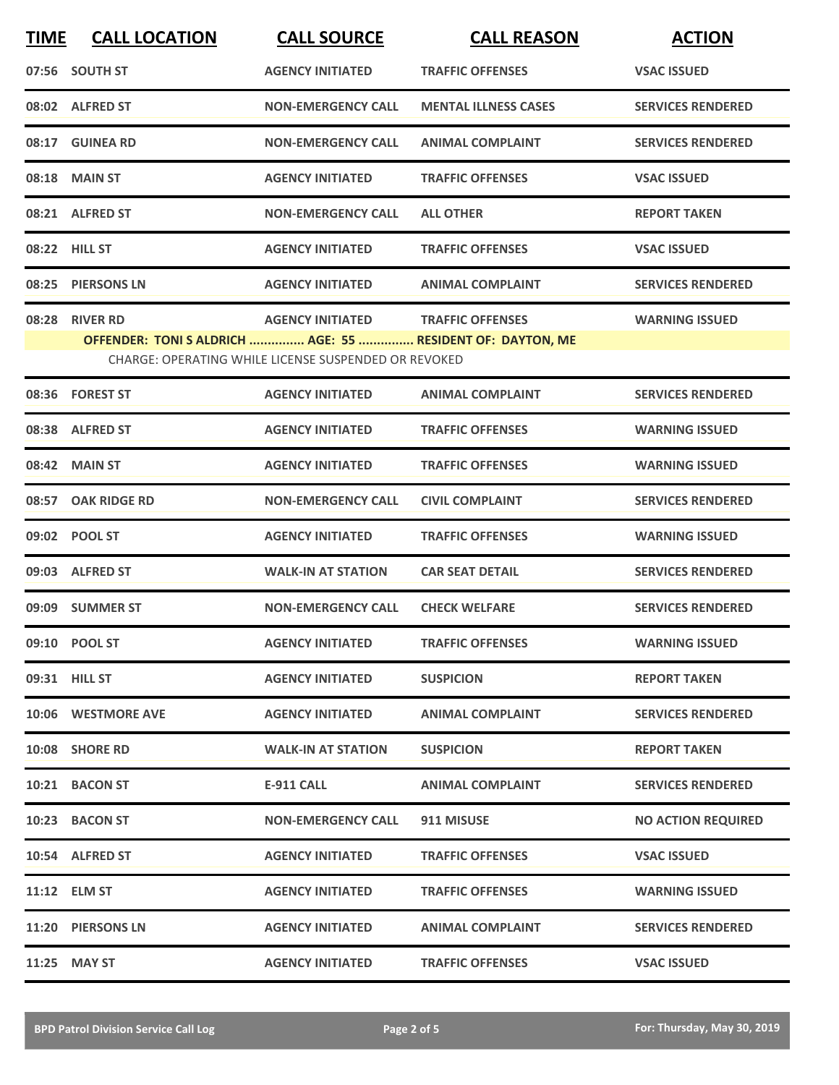| <b>TIME</b> | <b>CALL LOCATION</b>                                                         | <b>CALL SOURCE</b>                                                              | <b>CALL REASON</b>          | <b>ACTION</b>             |
|-------------|------------------------------------------------------------------------------|---------------------------------------------------------------------------------|-----------------------------|---------------------------|
|             | 07:56 SOUTH ST                                                               | <b>AGENCY INITIATED</b>                                                         | <b>TRAFFIC OFFENSES</b>     | <b>VSAC ISSUED</b>        |
|             | 08:02 ALFRED ST                                                              | <b>NON-EMERGENCY CALL</b>                                                       | <b>MENTAL ILLNESS CASES</b> | <b>SERVICES RENDERED</b>  |
|             | 08:17 GUINEA RD                                                              | <b>NON-EMERGENCY CALL</b>                                                       | <b>ANIMAL COMPLAINT</b>     | <b>SERVICES RENDERED</b>  |
|             | 08:18 MAIN ST                                                                | <b>AGENCY INITIATED</b>                                                         | <b>TRAFFIC OFFENSES</b>     | <b>VSAC ISSUED</b>        |
|             | 08:21 ALFRED ST                                                              | <b>NON-EMERGENCY CALL</b>                                                       | <b>ALL OTHER</b>            | <b>REPORT TAKEN</b>       |
|             | 08:22 HILL ST                                                                | <b>AGENCY INITIATED</b>                                                         | <b>TRAFFIC OFFENSES</b>     | <b>VSAC ISSUED</b>        |
| 08:25       | <b>PIERSONS LN</b>                                                           | <b>AGENCY INITIATED</b>                                                         | <b>ANIMAL COMPLAINT</b>     | <b>SERVICES RENDERED</b>  |
|             | 08:28 RIVER RD<br>OFFENDER: TONI S ALDRICH  AGE: 55  RESIDENT OF: DAYTON, ME | <b>AGENCY INITIATED</b><br>CHARGE: OPERATING WHILE LICENSE SUSPENDED OR REVOKED | <b>TRAFFIC OFFENSES</b>     | <b>WARNING ISSUED</b>     |
|             | 08:36 FOREST ST                                                              | <b>AGENCY INITIATED</b>                                                         | <b>ANIMAL COMPLAINT</b>     | <b>SERVICES RENDERED</b>  |
|             | 08:38 ALFRED ST                                                              | <b>AGENCY INITIATED</b>                                                         | <b>TRAFFIC OFFENSES</b>     | <b>WARNING ISSUED</b>     |
| 08:42       | <b>MAIN ST</b>                                                               | <b>AGENCY INITIATED</b>                                                         | <b>TRAFFIC OFFENSES</b>     | <b>WARNING ISSUED</b>     |
|             | 08:57 OAK RIDGE RD                                                           | <b>NON-EMERGENCY CALL</b>                                                       | <b>CIVIL COMPLAINT</b>      | <b>SERVICES RENDERED</b>  |
|             | 09:02 POOL ST                                                                | <b>AGENCY INITIATED</b>                                                         | <b>TRAFFIC OFFENSES</b>     | <b>WARNING ISSUED</b>     |
|             | 09:03 ALFRED ST                                                              | <b>WALK-IN AT STATION</b>                                                       | <b>CAR SEAT DETAIL</b>      | <b>SERVICES RENDERED</b>  |
|             | 09:09 SUMMER ST                                                              | <b>NON-EMERGENCY CALL</b>                                                       | <b>CHECK WELFARE</b>        | <b>SERVICES RENDERED</b>  |
|             | 09:10 POOL ST                                                                | <b>AGENCY INITIATED</b>                                                         | <b>TRAFFIC OFFENSES</b>     | <b>WARNING ISSUED</b>     |
|             | 09:31 HILL ST                                                                | <b>AGENCY INITIATED</b>                                                         | <b>SUSPICION</b>            | <b>REPORT TAKEN</b>       |
|             | 10:06 WESTMORE AVE                                                           | <b>AGENCY INITIATED</b>                                                         | <b>ANIMAL COMPLAINT</b>     | <b>SERVICES RENDERED</b>  |
|             | 10:08 SHORE RD                                                               | <b>WALK-IN AT STATION</b>                                                       | <b>SUSPICION</b>            | <b>REPORT TAKEN</b>       |
|             | 10:21 BACON ST                                                               | E-911 CALL                                                                      | <b>ANIMAL COMPLAINT</b>     | <b>SERVICES RENDERED</b>  |
|             | 10:23 BACON ST                                                               | <b>NON-EMERGENCY CALL</b>                                                       | 911 MISUSE                  | <b>NO ACTION REQUIRED</b> |
|             | 10:54 ALFRED ST                                                              | <b>AGENCY INITIATED</b>                                                         | <b>TRAFFIC OFFENSES</b>     | <b>VSAC ISSUED</b>        |
|             | 11:12 ELM ST                                                                 | <b>AGENCY INITIATED</b>                                                         | <b>TRAFFIC OFFENSES</b>     | <b>WARNING ISSUED</b>     |
|             | 11:20 PIERSONS LN                                                            | <b>AGENCY INITIATED</b>                                                         | <b>ANIMAL COMPLAINT</b>     | <b>SERVICES RENDERED</b>  |
|             | 11:25 MAY ST                                                                 | <b>AGENCY INITIATED</b>                                                         | <b>TRAFFIC OFFENSES</b>     | <b>VSAC ISSUED</b>        |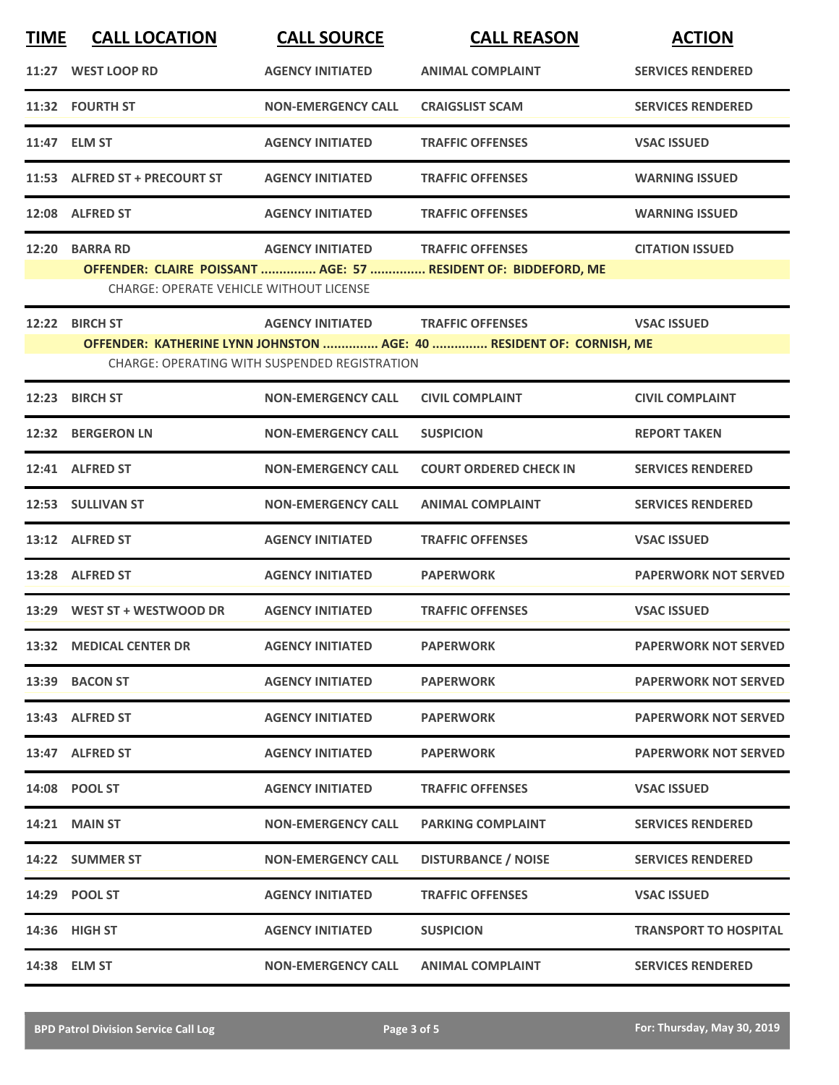| <b>TIME</b> | <b>CALL LOCATION</b>                           | <b>CALL SOURCE</b>                            | <b>CALL REASON</b>                                                   | <b>ACTION</b>                |
|-------------|------------------------------------------------|-----------------------------------------------|----------------------------------------------------------------------|------------------------------|
|             | 11:27 WEST LOOP RD                             | <b>AGENCY INITIATED</b>                       | <b>ANIMAL COMPLAINT</b>                                              | <b>SERVICES RENDERED</b>     |
|             | 11:32 FOURTH ST                                | <b>NON-EMERGENCY CALL</b>                     | <b>CRAIGSLIST SCAM</b>                                               | <b>SERVICES RENDERED</b>     |
|             | 11:47 ELM ST                                   | <b>AGENCY INITIATED</b>                       | <b>TRAFFIC OFFENSES</b>                                              | <b>VSAC ISSUED</b>           |
|             | 11:53 ALFRED ST + PRECOURT ST                  | <b>AGENCY INITIATED</b>                       | <b>TRAFFIC OFFENSES</b>                                              | <b>WARNING ISSUED</b>        |
|             | 12:08 ALFRED ST                                | <b>AGENCY INITIATED</b>                       | <b>TRAFFIC OFFENSES</b>                                              | <b>WARNING ISSUED</b>        |
|             | 12:20 BARRA RD                                 | <b>AGENCY INITIATED</b>                       | <b>TRAFFIC OFFENSES</b>                                              | <b>CITATION ISSUED</b>       |
|             | <b>CHARGE: OPERATE VEHICLE WITHOUT LICENSE</b> |                                               | OFFENDER: CLAIRE POISSANT  AGE: 57  RESIDENT OF: BIDDEFORD, ME       |                              |
| 12:22       | <b>BIRCH ST</b>                                | <b>AGENCY INITIATED</b>                       | <b>TRAFFIC OFFENSES</b>                                              | <b>VSAC ISSUED</b>           |
|             |                                                | CHARGE: OPERATING WITH SUSPENDED REGISTRATION | OFFENDER: KATHERINE LYNN JOHNSTON  AGE: 40  RESIDENT OF: CORNISH, ME |                              |
| 12:23       | <b>BIRCH ST</b>                                | <b>NON-EMERGENCY CALL</b>                     | <b>CIVIL COMPLAINT</b>                                               | <b>CIVIL COMPLAINT</b>       |
|             | 12:32 BERGERON LN                              | <b>NON-EMERGENCY CALL</b>                     | <b>SUSPICION</b>                                                     | <b>REPORT TAKEN</b>          |
|             | 12:41 ALFRED ST                                | <b>NON-EMERGENCY CALL</b>                     | <b>COURT ORDERED CHECK IN</b>                                        | <b>SERVICES RENDERED</b>     |
|             | 12:53 SULLIVAN ST                              | <b>NON-EMERGENCY CALL</b>                     | <b>ANIMAL COMPLAINT</b>                                              | <b>SERVICES RENDERED</b>     |
|             | 13:12 ALFRED ST                                | <b>AGENCY INITIATED</b>                       | <b>TRAFFIC OFFENSES</b>                                              | <b>VSAC ISSUED</b>           |
|             | 13:28 ALFRED ST                                | <b>AGENCY INITIATED</b>                       | <b>PAPERWORK</b>                                                     | <b>PAPERWORK NOT SERVED</b>  |
|             | 13:29 WEST ST + WESTWOOD DR                    | <b>AGENCY INITIATED</b>                       | <b>TRAFFIC OFFENSES</b>                                              | <b>VSAC ISSUED</b>           |
|             | 13:32 MEDICAL CENTER DR                        | <b>AGENCY INITIATED</b>                       | <b>PAPERWORK</b>                                                     | <b>PAPERWORK NOT SERVED</b>  |
|             | 13:39 BACON ST                                 | <b>AGENCY INITIATED</b>                       | <b>PAPERWORK</b>                                                     | <b>PAPERWORK NOT SERVED</b>  |
|             | 13:43 ALFRED ST                                | <b>AGENCY INITIATED</b>                       | <b>PAPERWORK</b>                                                     | <b>PAPERWORK NOT SERVED</b>  |
|             | 13:47 ALFRED ST                                | <b>AGENCY INITIATED</b>                       | <b>PAPERWORK</b>                                                     | <b>PAPERWORK NOT SERVED</b>  |
|             | 14:08 POOL ST                                  | <b>AGENCY INITIATED</b>                       | <b>TRAFFIC OFFENSES</b>                                              | <b>VSAC ISSUED</b>           |
|             | <b>14:21 MAIN ST</b>                           | <b>NON-EMERGENCY CALL</b>                     | <b>PARKING COMPLAINT</b>                                             | <b>SERVICES RENDERED</b>     |
|             | 14:22 SUMMER ST                                | <b>NON-EMERGENCY CALL</b>                     | <b>DISTURBANCE / NOISE</b>                                           | <b>SERVICES RENDERED</b>     |
|             | 14:29 POOL ST                                  | <b>AGENCY INITIATED</b>                       | <b>TRAFFIC OFFENSES</b>                                              | <b>VSAC ISSUED</b>           |
|             | 14:36 HIGH ST                                  | <b>AGENCY INITIATED</b>                       | <b>SUSPICION</b>                                                     | <b>TRANSPORT TO HOSPITAL</b> |
|             | 14:38 ELM ST                                   | <b>NON-EMERGENCY CALL</b>                     | <b>ANIMAL COMPLAINT</b>                                              | <b>SERVICES RENDERED</b>     |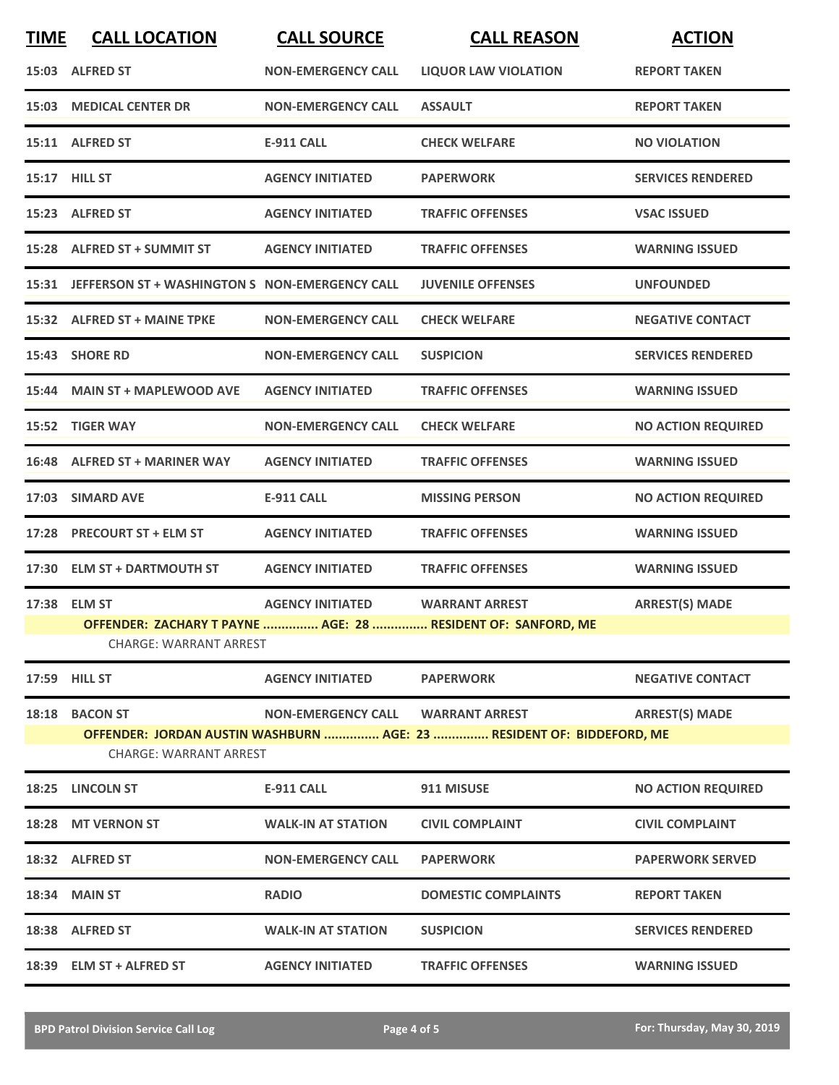| <b>TIME</b> | <b>CALL LOCATION</b>                                 | <b>CALL SOURCE</b>        | <b>CALL REASON</b>                                                                             | <b>ACTION</b>             |
|-------------|------------------------------------------------------|---------------------------|------------------------------------------------------------------------------------------------|---------------------------|
|             | 15:03 ALFRED ST                                      | <b>NON-EMERGENCY CALL</b> | <b>LIQUOR LAW VIOLATION</b>                                                                    | <b>REPORT TAKEN</b>       |
|             | 15:03 MEDICAL CENTER DR                              | <b>NON-EMERGENCY CALL</b> | <b>ASSAULT</b>                                                                                 | <b>REPORT TAKEN</b>       |
|             | 15:11 ALFRED ST                                      | <b>E-911 CALL</b>         | <b>CHECK WELFARE</b>                                                                           | <b>NO VIOLATION</b>       |
|             | 15:17 HILL ST                                        | <b>AGENCY INITIATED</b>   | <b>PAPERWORK</b>                                                                               | <b>SERVICES RENDERED</b>  |
|             | 15:23 ALFRED ST                                      | <b>AGENCY INITIATED</b>   | <b>TRAFFIC OFFENSES</b>                                                                        | <b>VSAC ISSUED</b>        |
|             | 15:28 ALFRED ST + SUMMIT ST                          | <b>AGENCY INITIATED</b>   | <b>TRAFFIC OFFENSES</b>                                                                        | <b>WARNING ISSUED</b>     |
|             | 15:31 JEFFERSON ST + WASHINGTON S NON-EMERGENCY CALL |                           | <b>JUVENILE OFFENSES</b>                                                                       | <b>UNFOUNDED</b>          |
|             | 15:32 ALFRED ST + MAINE TPKE                         | <b>NON-EMERGENCY CALL</b> | <b>CHECK WELFARE</b>                                                                           | <b>NEGATIVE CONTACT</b>   |
|             | 15:43 SHORE RD                                       | <b>NON-EMERGENCY CALL</b> | <b>SUSPICION</b>                                                                               | <b>SERVICES RENDERED</b>  |
|             | 15:44 MAIN ST + MAPLEWOOD AVE                        | <b>AGENCY INITIATED</b>   | <b>TRAFFIC OFFENSES</b>                                                                        | <b>WARNING ISSUED</b>     |
|             | 15:52 TIGER WAY                                      | <b>NON-EMERGENCY CALL</b> | <b>CHECK WELFARE</b>                                                                           | <b>NO ACTION REQUIRED</b> |
|             | 16:48 ALFRED ST + MARINER WAY                        | <b>AGENCY INITIATED</b>   | <b>TRAFFIC OFFENSES</b>                                                                        | <b>WARNING ISSUED</b>     |
| 17:03       | <b>SIMARD AVE</b>                                    | <b>E-911 CALL</b>         | <b>MISSING PERSON</b>                                                                          | <b>NO ACTION REQUIRED</b> |
|             | 17:28 PRECOURT ST + ELM ST                           | <b>AGENCY INITIATED</b>   | <b>TRAFFIC OFFENSES</b>                                                                        | <b>WARNING ISSUED</b>     |
|             | 17:30 ELM ST + DARTMOUTH ST                          | <b>AGENCY INITIATED</b>   | <b>TRAFFIC OFFENSES</b>                                                                        | <b>WARNING ISSUED</b>     |
|             | 17:38 ELM ST<br><b>CHARGE: WARRANT ARREST</b>        | <b>AGENCY INITIATED</b>   | <b>WARRANT ARREST</b><br>OFFENDER: ZACHARY T PAYNE  AGE: 28  RESIDENT OF: SANFORD, ME          | <b>ARREST(S) MADE</b>     |
|             | 17:59 HILL ST                                        | <b>AGENCY INITIATED</b>   | <b>PAPERWORK</b>                                                                               | <b>NEGATIVE CONTACT</b>   |
|             | 18:18 BACON ST<br><b>CHARGE: WARRANT ARREST</b>      | <b>NON-EMERGENCY CALL</b> | <b>WARRANT ARREST</b><br>OFFENDER: JORDAN AUSTIN WASHBURN  AGE: 23  RESIDENT OF: BIDDEFORD, ME | <b>ARREST(S) MADE</b>     |
|             | 18:25 LINCOLN ST                                     | <b>E-911 CALL</b>         | 911 MISUSE                                                                                     | <b>NO ACTION REQUIRED</b> |
|             | 18:28 MT VERNON ST                                   | <b>WALK-IN AT STATION</b> | <b>CIVIL COMPLAINT</b>                                                                         | <b>CIVIL COMPLAINT</b>    |
|             | 18:32 ALFRED ST                                      | <b>NON-EMERGENCY CALL</b> | <b>PAPERWORK</b>                                                                               | <b>PAPERWORK SERVED</b>   |
|             | <b>18:34 MAIN ST</b>                                 | <b>RADIO</b>              | <b>DOMESTIC COMPLAINTS</b>                                                                     | <b>REPORT TAKEN</b>       |
|             | 18:38 ALFRED ST                                      | <b>WALK-IN AT STATION</b> | <b>SUSPICION</b>                                                                               | <b>SERVICES RENDERED</b>  |
|             | 18:39 ELM ST + ALFRED ST                             | <b>AGENCY INITIATED</b>   | <b>TRAFFIC OFFENSES</b>                                                                        | <b>WARNING ISSUED</b>     |